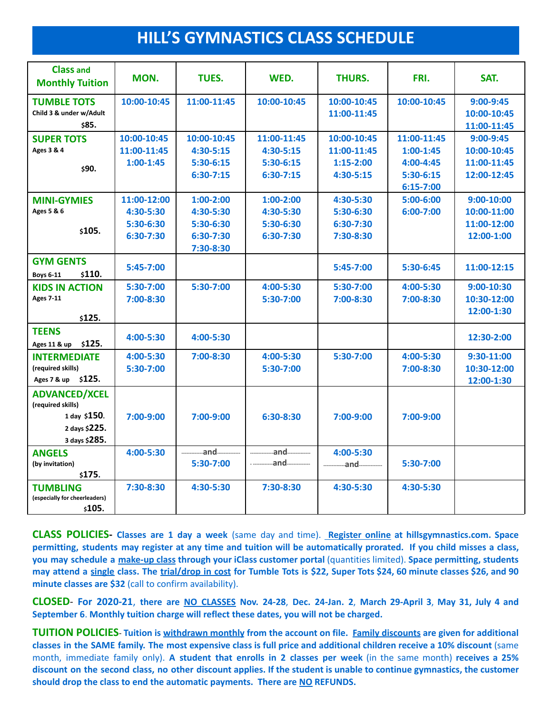## **HILL'S GYMNASTICS CLASS SCHEDULE**

| <b>Class and</b><br><b>Monthly Tuition</b>       | MON.        | TUES.         | WED.        | THURS.        | FRI.        | SAT.           |
|--------------------------------------------------|-------------|---------------|-------------|---------------|-------------|----------------|
| <b>TUMBLE TOTS</b>                               | 10:00-10:45 | 11:00-11:45   | 10:00-10:45 | 10:00-10:45   | 10:00-10:45 | $9:00-9:45$    |
| Child 3 & under w/Adult                          |             |               |             | 11:00-11:45   |             | 10:00-10:45    |
| \$85.                                            |             |               |             |               |             | 11:00-11:45    |
| <b>SUPER TOTS</b>                                | 10:00-10:45 | 10:00-10:45   | 11:00-11:45 | 10:00-10:45   | 11:00-11:45 | $9:00-9:45$    |
| Ages 3 & 4                                       | 11:00-11:45 | $4:30 - 5:15$ | $4:30-5:15$ | 11:00-11:45   | $1:00-1:45$ | 10:00-10:45    |
| \$90.                                            | $1:00-1:45$ | $5:30-6:15$   | $5:30-6:15$ | $1:15-2:00$   | 4:00-4:45   | 11:00-11:45    |
|                                                  |             | $6:30-7:15$   | $6:30-7:15$ | 4:30-5:15     | $5:30-6:15$ | 12:00-12:45    |
|                                                  |             |               |             |               | 6:15-7:00   |                |
| <b>MINI-GYMIES</b>                               | 11:00-12:00 | $1:00-2:00$   | $1:00-2:00$ | 4:30-5:30     | 5:00-6:00   | $9:00-10:00$   |
| Ages 5 & 6                                       | 4:30-5:30   | 4:30-5:30     | 4:30-5:30   | 5:30-6:30     | 6:00-7:00   | 10:00-11:00    |
| \$105.                                           | 5:30-6:30   | 5:30-6:30     | 5:30-6:30   | 6:30-7:30     |             | 11:00-12:00    |
|                                                  | 6:30-7:30   | 6:30-7:30     | 6:30-7:30   | 7:30-8:30     |             | 12:00-1:00     |
|                                                  |             | 7:30-8:30     |             |               |             |                |
| <b>GYM GENTS</b>                                 | 5:45-7:00   |               |             | $5:45 - 7:00$ | 5:30-6:45   | 11:00-12:15    |
| \$110.<br><b>Boys 6-11</b>                       |             |               |             |               |             |                |
| <b>KIDS IN ACTION</b>                            | 5:30-7:00   | 5:30-7:00     | 4:00-5:30   | 5:30-7:00     | 4:00-5:30   | $9:00 - 10:30$ |
| <b>Ages 7-11</b>                                 | 7:00-8:30   |               | 5:30-7:00   | 7:00-8:30     | 7:00-8:30   | 10:30-12:00    |
| \$125.                                           |             |               |             |               |             | 12:00-1:30     |
| <b>TEENS</b>                                     |             |               |             |               |             |                |
| \$125.<br>Ages 11 & up                           | 4:00-5:30   | 4:00-5:30     |             |               |             | 12:30-2:00     |
| <b>INTERMEDIATE</b>                              | 4:00-5:30   | 7:00-8:30     | 4:00-5:30   | $5:30-7:00$   | 4:00-5:30   | $9:30-11:00$   |
| (required skills)                                | 5:30-7:00   |               | 5:30-7:00   |               | 7:00-8:30   | 10:30-12:00    |
| \$125.<br>Ages 7 & up                            |             |               |             |               |             | 12:00-1:30     |
| <b>ADVANCED/XCEL</b><br>(required skills)        |             |               |             |               |             |                |
| 1 day \$150.                                     | 7:00-9:00   | $7:00-9:00$   | $6:30-8:30$ | $7:00-9:00$   | 7:00-9:00   |                |
| 2 days \$225.                                    |             |               |             |               |             |                |
| 3 days \$285.                                    |             |               |             |               |             |                |
| <b>ANGELS</b>                                    | 4:00-5:30   | and           | and         | 4:00-5:30     |             |                |
| (by invitation)                                  |             | 5:30-7:00     | and         |               | 5:30-7:00   |                |
| \$175.                                           |             |               |             |               |             |                |
| <b>TUMBLING</b><br>(especially for cheerleaders) | 7:30-8:30   | 4:30-5:30     | 7:30-8:30   | 4:30-5:30     | 4:30-5:30   |                |
| \$105.                                           |             |               |             |               |             |                |

**CLASS POLICIES- Classes are 1 day a week** (same day and time). **Register online at hillsgymnastics.com. Space** permitting, students may register at any time and tuition will be automatically prorated. If you child misses a class, **you may schedule a make-up class through your iClass customer portal** (quantities limited). **Space permitting, students** may attend a single class. The trial/drop in cost for Tumble Tots is \$22, Super Tots \$24, 60 minute classes \$26, and 90 **minute classes are \$32** (call to confirm availability).

CLOSED For 2020-21, there are NO CLASSES Nov. 24-28, Dec. 24-Jan. 2, March 29-April 3, May 31, July 4 and **September 6**. **Monthly tuition charge will reflect these dates, you will not be charged.**

TUITION POLICIES- Tuition is withdrawn monthly from the account on file. Family discounts are given for additional classes in the SAME family. The most expensive class is full price and additional children receive a 10% discount (same month, immediate family only). **A student that enrolls in 2 classes per week** (in the same month) **receives a 25%** discount on the second class, no other discount applies. If the student is unable to continue gymnastics, the customer **should drop the class to end the automatic payments. There are NO REFUNDS.**